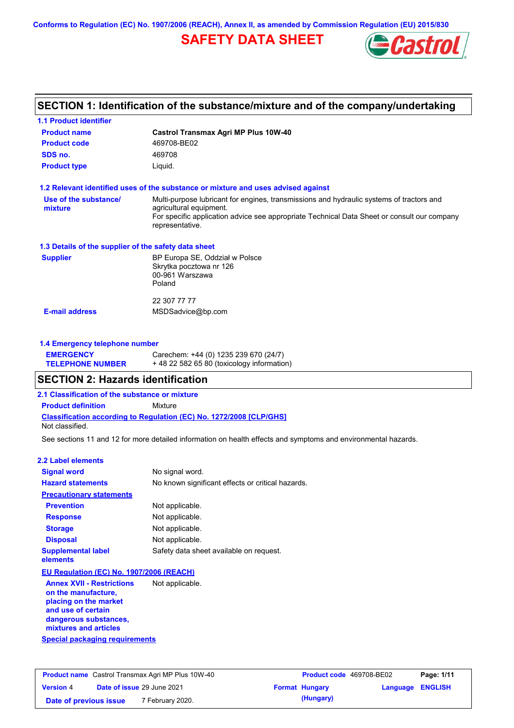**Conforms to Regulation (EC) No. 1907/2006 (REACH), Annex II, as amended by Commission Regulation (EU) 2015/830**

# **SAFETY DATA SHEET**



# **SECTION 1: Identification of the substance/mixture and of the company/undertaking**

| <b>1.1 Product identifier</b>                                                 |                                                                                                                                                                                                                                       |
|-------------------------------------------------------------------------------|---------------------------------------------------------------------------------------------------------------------------------------------------------------------------------------------------------------------------------------|
| <b>Product name</b>                                                           | <b>Castrol Transmax Agri MP Plus 10W-40</b>                                                                                                                                                                                           |
| <b>Product code</b>                                                           | 469708-BE02                                                                                                                                                                                                                           |
| SDS no.                                                                       | 469708                                                                                                                                                                                                                                |
| <b>Product type</b>                                                           | Liquid.                                                                                                                                                                                                                               |
|                                                                               | 1.2 Relevant identified uses of the substance or mixture and uses advised against                                                                                                                                                     |
| Use of the substance/<br>mixture                                              | Multi-purpose lubricant for engines, transmissions and hydraulic systems of tractors and<br>agricultural equipment.<br>For specific application advice see appropriate Technical Data Sheet or consult our company<br>representative. |
| 1.3 Details of the supplier of the safety data sheet                          |                                                                                                                                                                                                                                       |
| <b>Supplier</b>                                                               | BP Europa SE, Oddział w Polsce<br>Skrytka pocztowa nr 126<br>00-961 Warszawa<br>Poland                                                                                                                                                |
|                                                                               | 22 307 77 77                                                                                                                                                                                                                          |
| <b>E-mail address</b>                                                         | MSDSadvice@bp.com                                                                                                                                                                                                                     |
| 1.4 Emergency telephone number<br><b>EMERGENCY</b><br><b>TELEPHONE NUMBER</b> | Carechem: +44 (0) 1235 239 670 (24/7)<br>+48 22 582 65 80 (toxicology information)                                                                                                                                                    |
| <b>SECTION 2: Hazards identification</b>                                      |                                                                                                                                                                                                                                       |
| 2.1 Classification of the substance or mixture                                |                                                                                                                                                                                                                                       |
| <b>Product definition</b>                                                     | Mixture                                                                                                                                                                                                                               |
| Not classified.                                                               | <b>Classification according to Regulation (EC) No. 1272/2008 [CLP/GHS]</b>                                                                                                                                                            |
|                                                                               | See sections 11 and 12 for more detailed information on health effects and symptoms and environmental hazards.                                                                                                                        |
| <b>2.2 Label elements</b>                                                     |                                                                                                                                                                                                                                       |
| <b>Signal word</b>                                                            | No signal word.                                                                                                                                                                                                                       |
| <b>Hazard statements</b>                                                      | No known significant effects or critical hazards.                                                                                                                                                                                     |
| <b>Precautionary statements</b>                                               |                                                                                                                                                                                                                                       |
| <b>Prevention</b>                                                             | Not applicable.                                                                                                                                                                                                                       |
| <b>Response</b>                                                               | Not applicable.                                                                                                                                                                                                                       |
| <b>Storage</b>                                                                | Not applicable.                                                                                                                                                                                                                       |
| <b>Disposal</b>                                                               | Not applicable.                                                                                                                                                                                                                       |
| <b>Supplemental label</b><br>elements                                         | Safety data sheet available on request.                                                                                                                                                                                               |
| EU Regulation (EC) No. 1907/2006 (REACH)                                      |                                                                                                                                                                                                                                       |
|                                                                               |                                                                                                                                                                                                                                       |

**Special packaging requirements Annex XVII - Restrictions on the manufacture, placing on the market and use of certain dangerous substances, mixtures and articles** Not applicable.

| <b>Product name</b> Castrol Transmax Agri MP Plus 10W-40 |  | Product code 469708-BE02   |  | Page: 1/11            |                         |  |
|----------------------------------------------------------|--|----------------------------|--|-----------------------|-------------------------|--|
| <b>Version 4</b>                                         |  | Date of issue 29 June 2021 |  | <b>Format Hungary</b> | <b>Language ENGLISH</b> |  |
| Date of previous issue                                   |  | 7 February 2020.           |  | (Hungary)             |                         |  |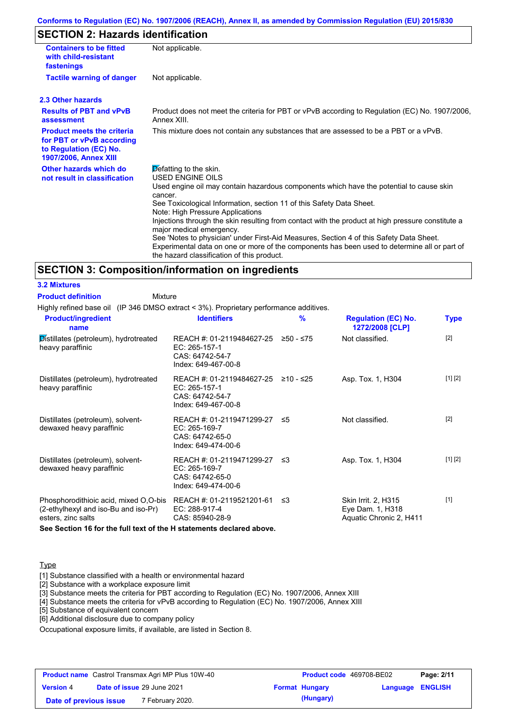## **SECTION 2: Hazards identification**

| <b>Containers to be fitted</b><br>with child-resistant<br>fastenings                                                     | Not applicable.                                                                                                                                                                                                                                                                                                                                                                                                                                                                                                                                                                                                                               |
|--------------------------------------------------------------------------------------------------------------------------|-----------------------------------------------------------------------------------------------------------------------------------------------------------------------------------------------------------------------------------------------------------------------------------------------------------------------------------------------------------------------------------------------------------------------------------------------------------------------------------------------------------------------------------------------------------------------------------------------------------------------------------------------|
| <b>Tactile warning of danger</b>                                                                                         | Not applicable.                                                                                                                                                                                                                                                                                                                                                                                                                                                                                                                                                                                                                               |
| 2.3 Other hazards                                                                                                        |                                                                                                                                                                                                                                                                                                                                                                                                                                                                                                                                                                                                                                               |
| <b>Results of PBT and vPvB</b><br>assessment                                                                             | Product does not meet the criteria for PBT or vPvB according to Regulation (EC) No. 1907/2006,<br>Annex XIII.                                                                                                                                                                                                                                                                                                                                                                                                                                                                                                                                 |
| <b>Product meets the criteria</b><br>for PBT or vPvB according<br>to Regulation (EC) No.<br><b>1907/2006, Annex XIII</b> | This mixture does not contain any substances that are assessed to be a PBT or a vPvB.                                                                                                                                                                                                                                                                                                                                                                                                                                                                                                                                                         |
| Other hazards which do<br>not result in classification                                                                   | Defatting to the skin.<br><b>USED ENGINE OILS</b><br>Used engine oil may contain hazardous components which have the potential to cause skin<br>cancer.<br>See Toxicological Information, section 11 of this Safety Data Sheet.<br>Note: High Pressure Applications<br>Injections through the skin resulting from contact with the product at high pressure constitute a<br>major medical emergency.<br>See 'Notes to physician' under First-Aid Measures, Section 4 of this Safety Data Sheet.<br>Experimental data on one or more of the components has been used to determine all or part of<br>the hazard classification of this product. |

#### **SECTION 3: Composition/information on ingredients**

**3.2 Mixtures Product definition**

Mixture

Highly refined base oil (IP 346 DMSO extract < 3%). Proprietary performance additives.

| <b>Product/ingredient</b><br>name                                                                   | <b>Identifiers</b>                                                                               | $\frac{9}{6}$ | <b>Regulation (EC) No.</b><br>1272/2008 [CLP]                      | <b>Type</b> |
|-----------------------------------------------------------------------------------------------------|--------------------------------------------------------------------------------------------------|---------------|--------------------------------------------------------------------|-------------|
| Distillates (petroleum), hydrotreated<br>heavy paraffinic                                           | REACH #: 01-2119484627-25<br>EC: 265-157-1<br>CAS: 64742-54-7<br>Index: 649-467-00-8             | ≥50 - ≤75     | Not classified.                                                    | $[2]$       |
| Distillates (petroleum), hydrotreated<br>heavy paraffinic                                           | REACH #: 01-2119484627-25 ≥10 - ≤25<br>$EC: 265-157-1$<br>CAS: 64742-54-7<br>Index: 649-467-00-8 |               | Asp. Tox. 1, H304                                                  | [1] [2]     |
| Distillates (petroleum), solvent-<br>dewaxed heavy paraffinic                                       | REACH #: 01-2119471299-27 ≤5<br>EC: 265-169-7<br>CAS: 64742-65-0<br>Index: 649-474-00-6          |               | Not classified.                                                    | $[2]$       |
| Distillates (petroleum), solvent-<br>dewaxed heavy paraffinic                                       | REACH #: 01-2119471299-27 ≤3<br>EC: 265-169-7<br>CAS: 64742-65-0<br>Index: 649-474-00-6          |               | Asp. Tox. 1, H304                                                  | [1] [2]     |
| Phosphorodithioic acid, mixed O,O-bis<br>(2-ethylhexyl and iso-Bu and iso-Pr)<br>esters, zinc salts | REACH #: 01-2119521201-61<br>EC: 288-917-4<br>CAS: 85940-28-9                                    | וי≥           | Skin Irrit. 2, H315<br>Eye Dam. 1, H318<br>Aquatic Chronic 2, H411 | $[1]$       |

**See Section 16 for the full text of the H statements declared above.**

#### **Type**

[1] Substance classified with a health or environmental hazard

[2] Substance with a workplace exposure limit

[3] Substance meets the criteria for PBT according to Regulation (EC) No. 1907/2006, Annex XIII

[4] Substance meets the criteria for vPvB according to Regulation (EC) No. 1907/2006, Annex XIII

[5] Substance of equivalent concern

[6] Additional disclosure due to company policy

Occupational exposure limits, if available, are listed in Section 8.

| <b>Product name</b> Castrol Transmax Agri MP Plus 10W-40 |  | <b>Product code</b> 469708-BE02 |                       | Page: 2/11              |  |
|----------------------------------------------------------|--|---------------------------------|-----------------------|-------------------------|--|
| <b>Version 4</b>                                         |  | Date of issue 29 June 2021      | <b>Format Hungary</b> | <b>Language ENGLISH</b> |  |
| Date of previous issue                                   |  | 7 February 2020.                | (Hungary)             |                         |  |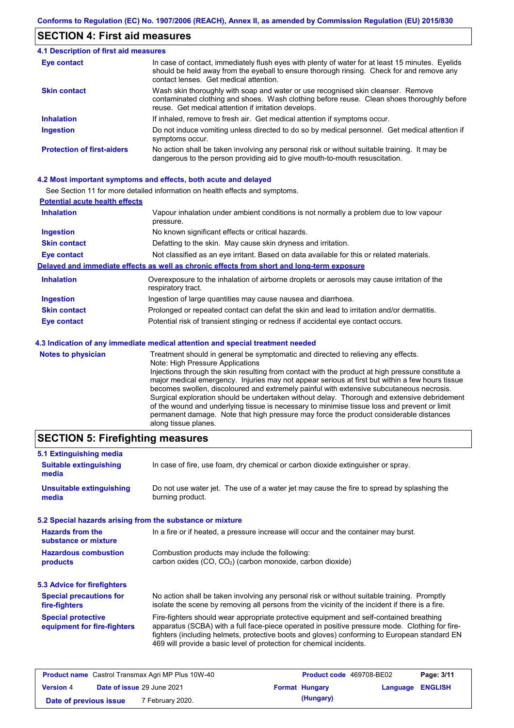## **SECTION 4: First aid measures**

#### Do not induce vomiting unless directed to do so by medical personnel. Get medical attention if symptoms occur. In case of contact, immediately flush eyes with plenty of water for at least 15 minutes. Eyelids should be held away from the eyeball to ensure thorough rinsing. Check for and remove any contact lenses. Get medical attention. **4.1 Description of first aid measures** If inhaled, remove to fresh air. Get medical attention if symptoms occur. **Ingestion Inhalation Eye contact Protection of first-aiders** No action shall be taken involving any personal risk or without suitable training. It may be dangerous to the person providing aid to give mouth-to-mouth resuscitation. **Skin contact** Wash skin thoroughly with soap and water or use recognised skin cleanser. Remove contaminated clothing and shoes. Wash clothing before reuse. Clean shoes thoroughly before reuse. Get medical attention if irritation develops.

#### **4.2 Most important symptoms and effects, both acute and delayed**

See Section 11 for more detailed information on health effects and symptoms.

| <b>Potential acute health effects</b> |                                                                                                                   |
|---------------------------------------|-------------------------------------------------------------------------------------------------------------------|
| <b>Inhalation</b>                     | Vapour inhalation under ambient conditions is not normally a problem due to low vapour<br>pressure.               |
| <b>Ingestion</b>                      | No known significant effects or critical hazards.                                                                 |
| <b>Skin contact</b>                   | Defatting to the skin. May cause skin dryness and irritation.                                                     |
| <b>Eye contact</b>                    | Not classified as an eye irritant. Based on data available for this or related materials.                         |
|                                       | Delayed and immediate effects as well as chronic effects from short and long-term exposure                        |
| <b>Inhalation</b>                     | Overexposure to the inhalation of airborne droplets or aerosols may cause irritation of the<br>respiratory tract. |
| <b>Ingestion</b>                      | Ingestion of large quantities may cause nausea and diarrhoea.                                                     |
| <b>Skin contact</b>                   | Prolonged or repeated contact can defat the skin and lead to irritation and/or dermatitis.                        |
| Eye contact                           | Potential risk of transient stinging or redness if accidental eye contact occurs.                                 |
|                                       | 4.3 Indication of any immediate medical attention and special treatment needed                                    |
| Notes to physician                    | Treatment should in general he symptomatic and directed to relieving any effects                                  |

| <b>Notes to physician</b> | Treatment should in general be symptomatic and directed to relieving any effects.                 |
|---------------------------|---------------------------------------------------------------------------------------------------|
|                           | Note: High Pressure Applications                                                                  |
|                           | Injections through the skin resulting from contact with the product at high pressure constitute a |
|                           | major medical emergency. Injuries may not appear serious at first but within a few hours tissue   |
|                           | becomes swollen, discoloured and extremely painful with extensive subcutaneous necrosis.          |
|                           | Surgical exploration should be undertaken without delay. Thorough and extensive debridement       |
|                           | of the wound and underlying tissue is necessary to minimise tissue loss and prevent or limit      |
|                           | permanent damage. Note that high pressure may force the product considerable distances            |
|                           | along tissue planes.                                                                              |

## **SECTION 5: Firefighting measures**

| 5.1 Extinguishing media                                   |                                                                                                                                                                                                                                                                                                                                                                   |
|-----------------------------------------------------------|-------------------------------------------------------------------------------------------------------------------------------------------------------------------------------------------------------------------------------------------------------------------------------------------------------------------------------------------------------------------|
| <b>Suitable extinguishing</b><br>media                    | In case of fire, use foam, dry chemical or carbon dioxide extinguisher or spray.                                                                                                                                                                                                                                                                                  |
| <b>Unsuitable extinguishing</b><br>media                  | Do not use water jet. The use of a water jet may cause the fire to spread by splashing the<br>burning product.                                                                                                                                                                                                                                                    |
| 5.2 Special hazards arising from the substance or mixture |                                                                                                                                                                                                                                                                                                                                                                   |
| <b>Hazards from the</b><br>substance or mixture           | In a fire or if heated, a pressure increase will occur and the container may burst.                                                                                                                                                                                                                                                                               |
| <b>Hazardous combustion</b><br>products                   | Combustion products may include the following:<br>carbon oxides (CO, CO <sub>2</sub> ) (carbon monoxide, carbon dioxide)                                                                                                                                                                                                                                          |
| 5.3 Advice for firefighters                               |                                                                                                                                                                                                                                                                                                                                                                   |
| <b>Special precautions for</b><br>fire-fighters           | No action shall be taken involving any personal risk or without suitable training. Promptly<br>isolate the scene by removing all persons from the vicinity of the incident if there is a fire.                                                                                                                                                                    |
| <b>Special protective</b><br>equipment for fire-fighters  | Fire-fighters should wear appropriate protective equipment and self-contained breathing<br>apparatus (SCBA) with a full face-piece operated in positive pressure mode. Clothing for fire-<br>fighters (including helmets, protective boots and gloves) conforming to European standard EN<br>469 will provide a basic level of protection for chemical incidents. |

| <b>Product name</b> Castrol Transmax Agri MP Plus 10W-40 |  | <b>Product code</b> 469708-BE02 |  | Page: 3/11            |                         |  |
|----------------------------------------------------------|--|---------------------------------|--|-----------------------|-------------------------|--|
| <b>Version 4</b>                                         |  | Date of issue 29 June 2021      |  | <b>Format Hungary</b> | <b>Language ENGLISH</b> |  |
| Date of previous issue                                   |  | <sup>7</sup> February 2020.     |  | (Hungary)             |                         |  |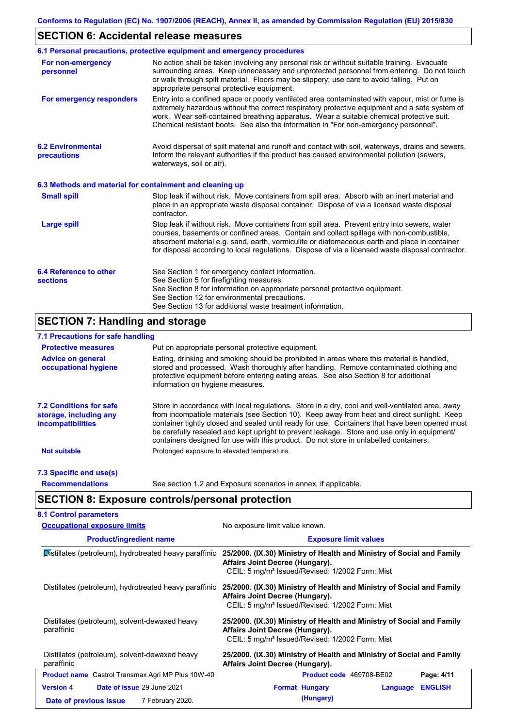## **SECTION 6: Accidental release measures**

|                                                          | 6.1 Personal precautions, protective equipment and emergency procedures                                                                                                                                                                                                                                                                                                                        |
|----------------------------------------------------------|------------------------------------------------------------------------------------------------------------------------------------------------------------------------------------------------------------------------------------------------------------------------------------------------------------------------------------------------------------------------------------------------|
| For non-emergency<br>personnel                           | No action shall be taken involving any personal risk or without suitable training. Evacuate<br>surrounding areas. Keep unnecessary and unprotected personnel from entering. Do not touch<br>or walk through spilt material. Floors may be slippery; use care to avoid falling. Put on<br>appropriate personal protective equipment.                                                            |
| For emergency responders                                 | Entry into a confined space or poorly ventilated area contaminated with vapour, mist or fume is<br>extremely hazardous without the correct respiratory protective equipment and a safe system of<br>work. Wear self-contained breathing apparatus. Wear a suitable chemical protective suit.<br>Chemical resistant boots. See also the information in "For non-emergency personnel".           |
| <b>6.2 Environmental</b><br>precautions                  | Avoid dispersal of spilt material and runoff and contact with soil, waterways, drains and sewers.<br>Inform the relevant authorities if the product has caused environmental pollution (sewers,<br>waterways, soil or air).                                                                                                                                                                    |
| 6.3 Methods and material for containment and cleaning up |                                                                                                                                                                                                                                                                                                                                                                                                |
| <b>Small spill</b>                                       | Stop leak if without risk. Move containers from spill area. Absorb with an inert material and<br>place in an appropriate waste disposal container. Dispose of via a licensed waste disposal<br>contractor.                                                                                                                                                                                     |
| <b>Large spill</b>                                       | Stop leak if without risk. Move containers from spill area. Prevent entry into sewers, water<br>courses, basements or confined areas. Contain and collect spillage with non-combustible,<br>absorbent material e.g. sand, earth, vermiculite or diatomaceous earth and place in container<br>for disposal according to local regulations. Dispose of via a licensed waste disposal contractor. |
| 6.4 Reference to other<br><b>sections</b>                | See Section 1 for emergency contact information.<br>See Section 5 for firefighting measures.<br>See Section 8 for information on appropriate personal protective equipment.<br>See Section 12 for environmental precautions.<br>See Section 13 for additional waste treatment information.                                                                                                     |

## **SECTION 7: Handling and storage**

## **7.1 Precautions for safe handling**

| <b>Protective measures</b>                                                           | Put on appropriate personal protective equipment.                                                                                                                                                                                                                                                                                                                                                                                                                                        |
|--------------------------------------------------------------------------------------|------------------------------------------------------------------------------------------------------------------------------------------------------------------------------------------------------------------------------------------------------------------------------------------------------------------------------------------------------------------------------------------------------------------------------------------------------------------------------------------|
| <b>Advice on general</b><br>occupational hygiene                                     | Eating, drinking and smoking should be prohibited in areas where this material is handled,<br>stored and processed. Wash thoroughly after handling. Remove contaminated clothing and<br>protective equipment before entering eating areas. See also Section 8 for additional<br>information on hygiene measures.                                                                                                                                                                         |
| <b>7.2 Conditions for safe</b><br>storage, including any<br><i>incompatibilities</i> | Store in accordance with local requiations. Store in a dry, cool and well-ventilated area, away<br>from incompatible materials (see Section 10). Keep away from heat and direct sunlight. Keep<br>container tightly closed and sealed until ready for use. Containers that have been opened must<br>be carefully resealed and kept upright to prevent leakage. Store and use only in equipment/<br>containers designed for use with this product. Do not store in unlabelled containers. |
| <b>Not suitable</b>                                                                  | Prolonged exposure to elevated temperature.                                                                                                                                                                                                                                                                                                                                                                                                                                              |
| 7.3 Specific end use(s)                                                              |                                                                                                                                                                                                                                                                                                                                                                                                                                                                                          |
| <b>Recommendations</b>                                                               | See section 1.2 and Exposure scenarios in annex, if applicable.                                                                                                                                                                                                                                                                                                                                                                                                                          |

# **SECTION 8: Exposure controls/personal protection**

| <b>Occupational exposure limits</b>                                                          | No exposure limit value known.                                                                                                                                          |  |  |  |
|----------------------------------------------------------------------------------------------|-------------------------------------------------------------------------------------------------------------------------------------------------------------------------|--|--|--|
| <b>Product/ingredient name</b>                                                               | <b>Exposure limit values</b>                                                                                                                                            |  |  |  |
| Distillates (petroleum), hydrotreated heavy paraffinic                                       | 25/2000. (IX.30) Ministry of Health and Ministry of Social and Family<br>Affairs Joint Decree (Hungary).<br>CEIL: 5 mg/m <sup>3</sup> Issued/Revised: 1/2002 Form: Mist |  |  |  |
| Distillates (petroleum), hydrotreated heavy paraffinic                                       | 25/2000. (IX.30) Ministry of Health and Ministry of Social and Family<br>Affairs Joint Decree (Hungary).<br>CEIL: 5 mg/m <sup>3</sup> Issued/Revised: 1/2002 Form: Mist |  |  |  |
| Distillates (petroleum), solvent-dewaxed heavy<br>paraffinic                                 | 25/2000. (IX.30) Ministry of Health and Ministry of Social and Family<br>Affairs Joint Decree (Hungary).<br>CEIL: 5 mg/m <sup>3</sup> Issued/Revised: 1/2002 Form: Mist |  |  |  |
| Distillates (petroleum), solvent-dewaxed heavy<br>paraffinic                                 | 25/2000. (IX.30) Ministry of Health and Ministry of Social and Family<br>Affairs Joint Decree (Hungary).                                                                |  |  |  |
| <b>Product name</b> Castrol Transmax Agri MP Plus 10W-40                                     | Product code 469708-BE02<br>Page: 4/11                                                                                                                                  |  |  |  |
| Date of issue 29 June 2021<br><b>Version 4</b><br>7 February 2020.<br>Date of previous issue | <b>ENGLISH</b><br><b>Format Hungary</b><br>Language<br>(Hungary)                                                                                                        |  |  |  |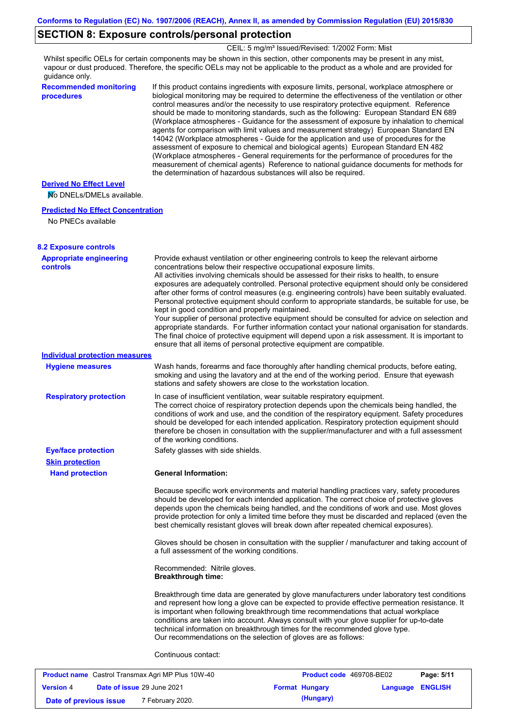## **SECTION 8: Exposure controls/personal protection**

CEIL: 5 mg/m<sup>3</sup> Issued/Revised: 1/2002 Form: Mist

Whilst specific OELs for certain components may be shown in this section, other components may be present in any mist, vapour or dust produced. Therefore, the specific OELs may not be applicable to the product as a whole and are provided for guidance only.

**Recommended monitoring procedures** If this product contains ingredients with exposure limits, personal, workplace atmosphere or biological monitoring may be required to determine the effectiveness of the ventilation or other control measures and/or the necessity to use respiratory protective equipment. Reference should be made to monitoring standards, such as the following: European Standard EN 689 (Workplace atmospheres - Guidance for the assessment of exposure by inhalation to chemical agents for comparison with limit values and measurement strategy) European Standard EN 14042 (Workplace atmospheres - Guide for the application and use of procedures for the assessment of exposure to chemical and biological agents) European Standard EN 482 (Workplace atmospheres - General requirements for the performance of procedures for the measurement of chemical agents) Reference to national guidance documents for methods for the determination of hazardous substances will also be required.

### **Derived No Effect Level**

No DNELs/DMELs available.

#### **Predicted No Effect Concentration**

No PNECs available

| <b>8.2 Exposure controls</b><br><b>Appropriate engineering</b> | Provide exhaust ventilation or other engineering controls to keep the relevant airborne                                                                                                                                                                                                                                                                                                                                                                                                                                                                                                                                                                                                                                                                                                                                                                                                                      |
|----------------------------------------------------------------|--------------------------------------------------------------------------------------------------------------------------------------------------------------------------------------------------------------------------------------------------------------------------------------------------------------------------------------------------------------------------------------------------------------------------------------------------------------------------------------------------------------------------------------------------------------------------------------------------------------------------------------------------------------------------------------------------------------------------------------------------------------------------------------------------------------------------------------------------------------------------------------------------------------|
| <b>controls</b>                                                | concentrations below their respective occupational exposure limits.<br>All activities involving chemicals should be assessed for their risks to health, to ensure<br>exposures are adequately controlled. Personal protective equipment should only be considered<br>after other forms of control measures (e.g. engineering controls) have been suitably evaluated.<br>Personal protective equipment should conform to appropriate standards, be suitable for use, be<br>kept in good condition and properly maintained.<br>Your supplier of personal protective equipment should be consulted for advice on selection and<br>appropriate standards. For further information contact your national organisation for standards.<br>The final choice of protective equipment will depend upon a risk assessment. It is important to<br>ensure that all items of personal protective equipment are compatible. |
| <b>Individual protection measures</b>                          |                                                                                                                                                                                                                                                                                                                                                                                                                                                                                                                                                                                                                                                                                                                                                                                                                                                                                                              |
| <b>Hygiene measures</b>                                        | Wash hands, forearms and face thoroughly after handling chemical products, before eating,<br>smoking and using the lavatory and at the end of the working period. Ensure that eyewash<br>stations and safety showers are close to the workstation location.                                                                                                                                                                                                                                                                                                                                                                                                                                                                                                                                                                                                                                                  |
| <b>Respiratory protection</b>                                  | In case of insufficient ventilation, wear suitable respiratory equipment.<br>The correct choice of respiratory protection depends upon the chemicals being handled, the<br>conditions of work and use, and the condition of the respiratory equipment. Safety procedures<br>should be developed for each intended application. Respiratory protection equipment should<br>therefore be chosen in consultation with the supplier/manufacturer and with a full assessment<br>of the working conditions.                                                                                                                                                                                                                                                                                                                                                                                                        |
| <b>Eye/face protection</b>                                     | Safety glasses with side shields.                                                                                                                                                                                                                                                                                                                                                                                                                                                                                                                                                                                                                                                                                                                                                                                                                                                                            |
| <b>Skin protection</b>                                         |                                                                                                                                                                                                                                                                                                                                                                                                                                                                                                                                                                                                                                                                                                                                                                                                                                                                                                              |
| <b>Hand protection</b>                                         | <b>General Information:</b>                                                                                                                                                                                                                                                                                                                                                                                                                                                                                                                                                                                                                                                                                                                                                                                                                                                                                  |
|                                                                | Because specific work environments and material handling practices vary, safety procedures<br>should be developed for each intended application. The correct choice of protective gloves<br>depends upon the chemicals being handled, and the conditions of work and use. Most gloves<br>provide protection for only a limited time before they must be discarded and replaced (even the<br>best chemically resistant gloves will break down after repeated chemical exposures).                                                                                                                                                                                                                                                                                                                                                                                                                             |
|                                                                | Gloves should be chosen in consultation with the supplier / manufacturer and taking account of<br>a full assessment of the working conditions.                                                                                                                                                                                                                                                                                                                                                                                                                                                                                                                                                                                                                                                                                                                                                               |
|                                                                | Recommended: Nitrile gloves.<br><b>Breakthrough time:</b>                                                                                                                                                                                                                                                                                                                                                                                                                                                                                                                                                                                                                                                                                                                                                                                                                                                    |
|                                                                | Breakthrough time data are generated by glove manufacturers under laboratory test conditions<br>and represent how long a glove can be expected to provide effective permeation resistance. It<br>is important when following breakthrough time recommendations that actual workplace<br>conditions are taken into account. Always consult with your glove supplier for up-to-date<br>technical information on breakthrough times for the recommended glove type.<br>Our recommendations on the selection of gloves are as follows:                                                                                                                                                                                                                                                                                                                                                                           |
|                                                                | Continuous contact:                                                                                                                                                                                                                                                                                                                                                                                                                                                                                                                                                                                                                                                                                                                                                                                                                                                                                          |

| <b>Product name</b> Castrol Transmax Agri MP Plus 10W-40 |  | <b>Product code</b> 469708-BE02   |  | Page: 5/11            |                         |  |
|----------------------------------------------------------|--|-----------------------------------|--|-----------------------|-------------------------|--|
| <b>Version 4</b>                                         |  | <b>Date of issue 29 June 2021</b> |  | <b>Format Hungary</b> | <b>Language ENGLISH</b> |  |
| Date of previous issue                                   |  | 7 February 2020.                  |  | (Hungary)             |                         |  |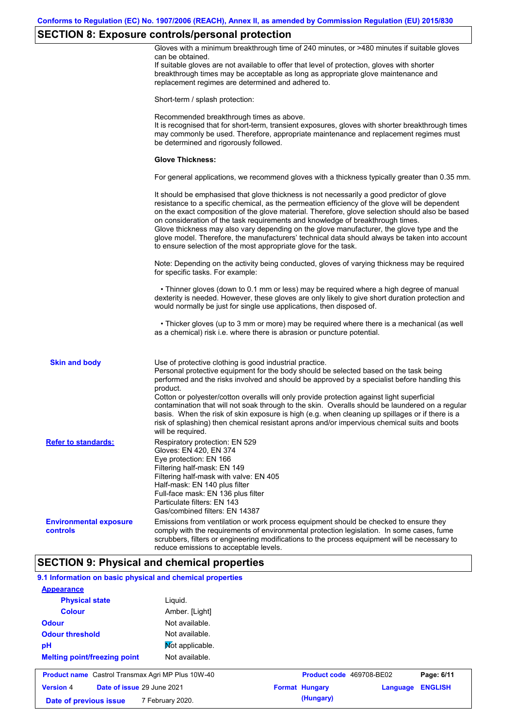# **SECTION 8: Exposure controls/personal protection**

|                                                           | $\sim$<br>Gloves with a minimum breakthrough time of 240 minutes, or >480 minutes if suitable gloves<br>can be obtained.<br>If suitable gloves are not available to offer that level of protection, gloves with shorter<br>breakthrough times may be acceptable as long as appropriate glove maintenance and<br>replacement regimes are determined and adhered to.                                                                                                                                                                                                                                                                                |
|-----------------------------------------------------------|---------------------------------------------------------------------------------------------------------------------------------------------------------------------------------------------------------------------------------------------------------------------------------------------------------------------------------------------------------------------------------------------------------------------------------------------------------------------------------------------------------------------------------------------------------------------------------------------------------------------------------------------------|
|                                                           | Short-term / splash protection:                                                                                                                                                                                                                                                                                                                                                                                                                                                                                                                                                                                                                   |
|                                                           | Recommended breakthrough times as above.<br>It is recognised that for short-term, transient exposures, gloves with shorter breakthrough times<br>may commonly be used. Therefore, appropriate maintenance and replacement regimes must<br>be determined and rigorously followed.                                                                                                                                                                                                                                                                                                                                                                  |
|                                                           | <b>Glove Thickness:</b>                                                                                                                                                                                                                                                                                                                                                                                                                                                                                                                                                                                                                           |
|                                                           | For general applications, we recommend gloves with a thickness typically greater than 0.35 mm.                                                                                                                                                                                                                                                                                                                                                                                                                                                                                                                                                    |
|                                                           | It should be emphasised that glove thickness is not necessarily a good predictor of glove<br>resistance to a specific chemical, as the permeation efficiency of the glove will be dependent<br>on the exact composition of the glove material. Therefore, glove selection should also be based<br>on consideration of the task requirements and knowledge of breakthrough times.<br>Glove thickness may also vary depending on the glove manufacturer, the glove type and the<br>glove model. Therefore, the manufacturers' technical data should always be taken into account<br>to ensure selection of the most appropriate glove for the task. |
|                                                           | Note: Depending on the activity being conducted, gloves of varying thickness may be required<br>for specific tasks. For example:                                                                                                                                                                                                                                                                                                                                                                                                                                                                                                                  |
|                                                           | • Thinner gloves (down to 0.1 mm or less) may be required where a high degree of manual<br>dexterity is needed. However, these gloves are only likely to give short duration protection and<br>would normally be just for single use applications, then disposed of.                                                                                                                                                                                                                                                                                                                                                                              |
|                                                           | • Thicker gloves (up to 3 mm or more) may be required where there is a mechanical (as well<br>as a chemical) risk i.e. where there is abrasion or puncture potential.                                                                                                                                                                                                                                                                                                                                                                                                                                                                             |
| <b>Skin and body</b>                                      | Use of protective clothing is good industrial practice.<br>Personal protective equipment for the body should be selected based on the task being<br>performed and the risks involved and should be approved by a specialist before handling this                                                                                                                                                                                                                                                                                                                                                                                                  |
|                                                           | product.<br>Cotton or polyester/cotton overalls will only provide protection against light superficial<br>contamination that will not soak through to the skin. Overalls should be laundered on a regular<br>basis. When the risk of skin exposure is high (e.g. when cleaning up spillages or if there is a<br>risk of splashing) then chemical resistant aprons and/or impervious chemical suits and boots<br>will be required.                                                                                                                                                                                                                 |
| <b>Refer to standards:</b>                                | Respiratory protection: EN 529<br>Gloves: EN 420, EN 374                                                                                                                                                                                                                                                                                                                                                                                                                                                                                                                                                                                          |
|                                                           | Eye protection: EN 166<br>Filtering half-mask: EN 149<br>Filtering half-mask with valve: EN 405<br>Half-mask: EN 140 plus filter<br>Full-face mask: EN 136 plus filter<br>Particulate filters: EN 143<br>Gas/combined filters: EN 14387                                                                                                                                                                                                                                                                                                                                                                                                           |
| <b>Environmental exposure</b><br>controls                 | Emissions from ventilation or work process equipment should be checked to ensure they<br>comply with the requirements of environmental protection legislation. In some cases, fume<br>scrubbers, filters or engineering modifications to the process equipment will be necessary to<br>reduce emissions to acceptable levels.                                                                                                                                                                                                                                                                                                                     |
|                                                           | <b>SECTION 9: Physical and chemical properties</b>                                                                                                                                                                                                                                                                                                                                                                                                                                                                                                                                                                                                |
| 9.1 Information on basic physical and chemical properties |                                                                                                                                                                                                                                                                                                                                                                                                                                                                                                                                                                                                                                                   |
| <b>Appearance</b>                                         |                                                                                                                                                                                                                                                                                                                                                                                                                                                                                                                                                                                                                                                   |
| <b>Physical state</b>                                     | Liquid.                                                                                                                                                                                                                                                                                                                                                                                                                                                                                                                                                                                                                                           |
| <b>Colour</b>                                             | Amber. [Light]                                                                                                                                                                                                                                                                                                                                                                                                                                                                                                                                                                                                                                    |
| <b>Odour</b>                                              | Not available.                                                                                                                                                                                                                                                                                                                                                                                                                                                                                                                                                                                                                                    |
| <b>Odour threshold</b>                                    | Not available.                                                                                                                                                                                                                                                                                                                                                                                                                                                                                                                                                                                                                                    |
| рH                                                        | Mot applicable.                                                                                                                                                                                                                                                                                                                                                                                                                                                                                                                                                                                                                                   |
| <b>Melting point/freezing point</b>                       | Not available.                                                                                                                                                                                                                                                                                                                                                                                                                                                                                                                                                                                                                                    |

| <b>Product name</b> Castrol Transmax Agri MP Plus 10W-40 |  | <b>Product code</b> 469708-BE02   |  | Page: 6/11            |                         |  |
|----------------------------------------------------------|--|-----------------------------------|--|-----------------------|-------------------------|--|
| <b>Version 4</b>                                         |  | <b>Date of issue 29 June 2021</b> |  | <b>Format Hungary</b> | <b>Language ENGLISH</b> |  |
| Date of previous issue                                   |  | 7 February 2020.                  |  | (Hungary)             |                         |  |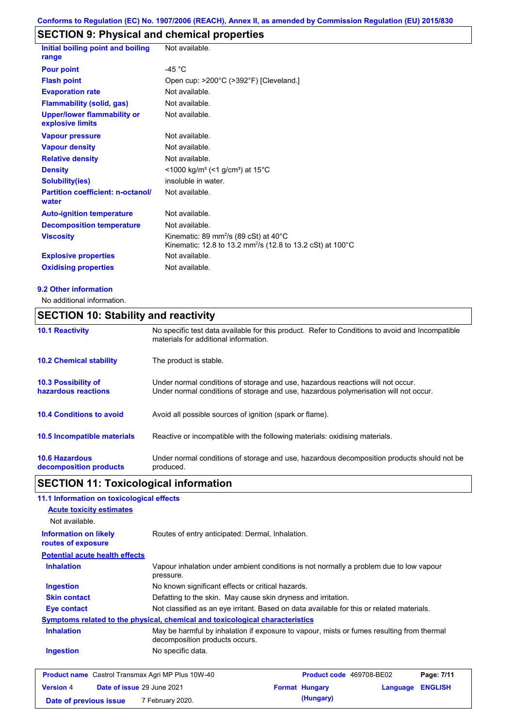# **SECTION 9: Physical and chemical properties**

| Initial boiling point and boiling<br>range             | Not available.                                                                                                                          |
|--------------------------------------------------------|-----------------------------------------------------------------------------------------------------------------------------------------|
| <b>Pour point</b>                                      | -45 $^{\circ}$ C                                                                                                                        |
| <b>Flash point</b>                                     | Open cup: >200°C (>392°F) [Cleveland.]                                                                                                  |
| <b>Evaporation rate</b>                                | Not available.                                                                                                                          |
| <b>Flammability (solid, gas)</b>                       | Not available.                                                                                                                          |
| <b>Upper/lower flammability or</b><br>explosive limits | Not available.                                                                                                                          |
| <b>Vapour pressure</b>                                 | Not available.                                                                                                                          |
| <b>Vapour density</b>                                  | Not available.                                                                                                                          |
| <b>Relative density</b>                                | Not available.                                                                                                                          |
| <b>Density</b>                                         | $<$ 1000 kg/m <sup>3</sup> (<1 g/cm <sup>3</sup> ) at 15 <sup>°</sup> C                                                                 |
| Solubility(ies)                                        | insoluble in water.                                                                                                                     |
| <b>Partition coefficient: n-octanol/</b><br>water      | Not available.                                                                                                                          |
| <b>Auto-ignition temperature</b>                       | Not available.                                                                                                                          |
| <b>Decomposition temperature</b>                       | Not available.                                                                                                                          |
| <b>Viscosity</b>                                       | Kinematic: 89 mm <sup>2</sup> /s (89 cSt) at 40 $^{\circ}$ C<br>Kinematic: 12.8 to 13.2 mm <sup>2</sup> /s (12.8 to 13.2 cSt) at 100 °C |
| <b>Explosive properties</b>                            | Not available.                                                                                                                          |
| <b>Oxidising properties</b>                            | Not available.                                                                                                                          |
|                                                        |                                                                                                                                         |

#### **9.2 Other information**

No additional information.

## **SECTION 10: Stability and reactivity**

| <b>10.1 Reactivity</b>                            | No specific test data available for this product. Refer to Conditions to avoid and Incompatible<br>materials for additional information.                                |
|---------------------------------------------------|-------------------------------------------------------------------------------------------------------------------------------------------------------------------------|
| <b>10.2 Chemical stability</b>                    | The product is stable.                                                                                                                                                  |
| <b>10.3 Possibility of</b><br>hazardous reactions | Under normal conditions of storage and use, hazardous reactions will not occur.<br>Under normal conditions of storage and use, hazardous polymerisation will not occur. |
| <b>10.4 Conditions to avoid</b>                   | Avoid all possible sources of ignition (spark or flame).                                                                                                                |
| <b>10.5 Incompatible materials</b>                | Reactive or incompatible with the following materials: oxidising materials.                                                                                             |
| <b>10.6 Hazardous</b><br>decomposition products   | Under normal conditions of storage and use, hazardous decomposition products should not be<br>produced.                                                                 |

## **SECTION 11: Toxicological information**

## **11.1 Information on toxicological effects**

| 11.1 milomaalon on toxicological enects                                      |                                                                                                                             |                          |          |                |
|------------------------------------------------------------------------------|-----------------------------------------------------------------------------------------------------------------------------|--------------------------|----------|----------------|
| <b>Acute toxicity estimates</b>                                              |                                                                                                                             |                          |          |                |
| Not available.                                                               |                                                                                                                             |                          |          |                |
| <b>Information on likely</b><br>routes of exposure                           | Routes of entry anticipated: Dermal, Inhalation.                                                                            |                          |          |                |
| <b>Potential acute health effects</b>                                        |                                                                                                                             |                          |          |                |
| <b>Inhalation</b>                                                            | Vapour inhalation under ambient conditions is not normally a problem due to low vapour<br>pressure.                         |                          |          |                |
| <b>Ingestion</b>                                                             | No known significant effects or critical hazards.                                                                           |                          |          |                |
| <b>Skin contact</b>                                                          | Defatting to the skin. May cause skin dryness and irritation.                                                               |                          |          |                |
| Eye contact                                                                  | Not classified as an eye irritant. Based on data available for this or related materials.                                   |                          |          |                |
| Symptoms related to the physical, chemical and toxicological characteristics |                                                                                                                             |                          |          |                |
| <b>Inhalation</b>                                                            | May be harmful by inhalation if exposure to vapour, mists or fumes resulting from thermal<br>decomposition products occurs. |                          |          |                |
| <b>Ingestion</b>                                                             | No specific data.                                                                                                           |                          |          |                |
| <b>Product name</b> Castrol Transmax Agri MP Plus 10W-40                     |                                                                                                                             | Product code 469708-BE02 |          | Page: 7/11     |
| <b>Version 4</b>                                                             | Date of issue 29 June 2021                                                                                                  | <b>Format Hungary</b>    | Language | <b>ENGLISH</b> |

**Date of previous issue (Hungary)** 7 February 2020.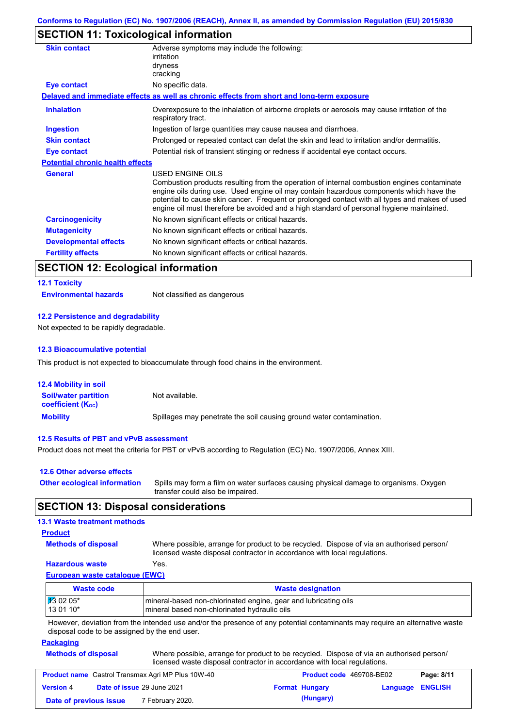## **SECTION 11: Toxicological information**

| <b>Skin contact</b>                     | Adverse symptoms may include the following:<br>irritation                                                                                                                                                                                                                                                                                                                                                |
|-----------------------------------------|----------------------------------------------------------------------------------------------------------------------------------------------------------------------------------------------------------------------------------------------------------------------------------------------------------------------------------------------------------------------------------------------------------|
|                                         | dryness<br>cracking                                                                                                                                                                                                                                                                                                                                                                                      |
| Eye contact                             | No specific data.                                                                                                                                                                                                                                                                                                                                                                                        |
|                                         | Delayed and immediate effects as well as chronic effects from short and long-term exposure                                                                                                                                                                                                                                                                                                               |
| <b>Inhalation</b>                       | Overexposure to the inhalation of airborne droplets or aerosols may cause irritation of the<br>respiratory tract.                                                                                                                                                                                                                                                                                        |
| <b>Ingestion</b>                        | Ingestion of large quantities may cause nausea and diarrhoea.                                                                                                                                                                                                                                                                                                                                            |
| <b>Skin contact</b>                     | Prolonged or repeated contact can defat the skin and lead to irritation and/or dermatitis.                                                                                                                                                                                                                                                                                                               |
| Eye contact                             | Potential risk of transient stinging or redness if accidental eye contact occurs.                                                                                                                                                                                                                                                                                                                        |
| <b>Potential chronic health effects</b> |                                                                                                                                                                                                                                                                                                                                                                                                          |
| <b>General</b>                          | USED ENGINE OILS<br>Combustion products resulting from the operation of internal combustion engines contaminate<br>engine oils during use. Used engine oil may contain hazardous components which have the<br>potential to cause skin cancer. Frequent or prolonged contact with all types and makes of used<br>engine oil must therefore be avoided and a high standard of personal hygiene maintained. |
| <b>Carcinogenicity</b>                  | No known significant effects or critical hazards.                                                                                                                                                                                                                                                                                                                                                        |
| <b>Mutagenicity</b>                     | No known significant effects or critical hazards.                                                                                                                                                                                                                                                                                                                                                        |
| <b>Developmental effects</b>            | No known significant effects or critical hazards.                                                                                                                                                                                                                                                                                                                                                        |
| <b>Fertility effects</b>                | No known significant effects or critical hazards.                                                                                                                                                                                                                                                                                                                                                        |

# **SECTION 12: Ecological information**

| <b>12.1 Toxicity</b>         |                             |
|------------------------------|-----------------------------|
| <b>Environmental hazards</b> | Not classified as dangerous |

#### **12.2 Persistence and degradability**

Not expected to be rapidly degradable.

#### **12.3 Bioaccumulative potential**

This product is not expected to bioaccumulate through food chains in the environment.

| <b>12.4 Mobility in soil</b>                            |                                                                      |
|---------------------------------------------------------|----------------------------------------------------------------------|
| <b>Soil/water partition</b><br><b>coefficient (Koc)</b> | Not available.                                                       |
| <b>Mobility</b>                                         | Spillages may penetrate the soil causing ground water contamination. |

#### **12.5 Results of PBT and vPvB assessment**

Product does not meet the criteria for PBT or vPvB according to Regulation (EC) No. 1907/2006, Annex XIII.

| 12.6 Other adverse effects          |                                                                                                                           |
|-------------------------------------|---------------------------------------------------------------------------------------------------------------------------|
| <b>Other ecological information</b> | Spills may form a film on water surfaces causing physical damage to organisms. Oxygen<br>transfer could also be impaired. |

## **SECTION 13: Disposal considerations**

#### **13.1 Waste treatment methods**

#### **Product**

**Methods of disposal**

Where possible, arrange for product to be recycled. Dispose of via an authorised person/ licensed waste disposal contractor in accordance with local regulations.

#### **Hazardous waste** Yes.

**European waste catalogue (EWC)**

| Waste code           | <b>Waste designation</b>                                         |
|----------------------|------------------------------------------------------------------|
| $\frac{1}{3}$ 02 05* | Imineral-based non-chlorinated engine, gear and lubricating oils |
| 113 01 10*           | Imineral based non-chlorinated hydraulic oils                    |

However, deviation from the intended use and/or the presence of any potential contaminants may require an alternative waste disposal code to be assigned by the end user.

#### **Packaging**

| <b>Methods of disposal</b> | Where possible, arrange for product to be recycled. Dispose of via an authorised person/ |
|----------------------------|------------------------------------------------------------------------------------------|
|                            | licensed waste disposal contractor in accordance with local regulations.                 |

| <b>Product name</b> Castrol Transmax Agri MP Plus 10W-40 |  |                                   | <b>Product code</b> 469708-BE02 |                       | Page: 8/11       |  |
|----------------------------------------------------------|--|-----------------------------------|---------------------------------|-----------------------|------------------|--|
| <b>Version 4</b>                                         |  | <b>Date of issue 29 June 2021</b> |                                 | <b>Format Hungary</b> | Language ENGLISH |  |
| Date of previous issue                                   |  | 7 February 2020.                  |                                 | (Hungary)             |                  |  |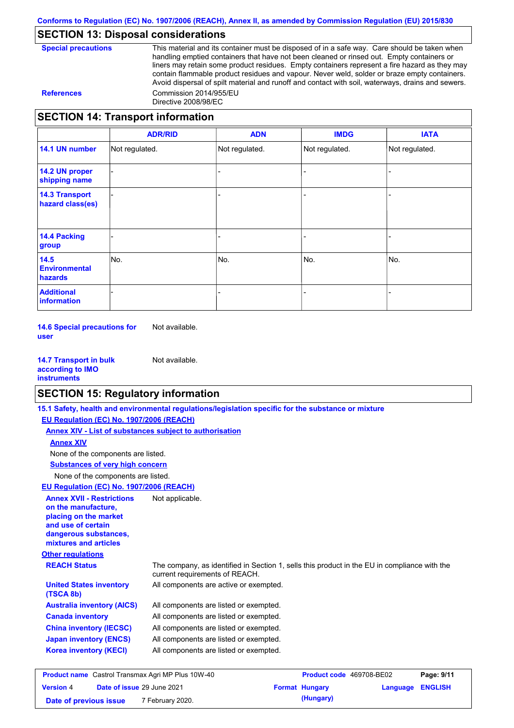## **SECTION 13: Disposal considerations**

| <b>Special precautions</b> |
|----------------------------|
|----------------------------|

This material and its container must be disposed of in a safe way. Care should be taken when handling emptied containers that have not been cleaned or rinsed out. Empty containers or liners may retain some product residues. Empty containers represent a fire hazard as they may contain flammable product residues and vapour. Never weld, solder or braze empty containers. Avoid dispersal of spilt material and runoff and contact with soil, waterways, drains and sewers. **References** Commission 2014/955/EU Directive 2008/98/EC

## **SECTION 14: Transport information**

|                                           | <b>ADR/RID</b> | <b>ADN</b>     | <b>IMDG</b>    | <b>IATA</b>    |
|-------------------------------------------|----------------|----------------|----------------|----------------|
| 14.1 UN number                            | Not regulated. | Not regulated. | Not regulated. | Not regulated. |
| 14.2 UN proper<br>shipping name           |                |                |                |                |
| <b>14.3 Transport</b><br>hazard class(es) |                |                |                |                |
| <b>14.4 Packing</b><br>group              |                |                |                |                |
| 14.5<br><b>Environmental</b><br>hazards   | No.            | No.            | No.            | No.            |
| <b>Additional</b><br>information          |                |                |                |                |

**14.6 Special precautions for user** Not available.

**14.7 Transport in bulk according to IMO instruments** Not available.

## **SECTION 15: Regulatory information**

|                                                                                                                                                          | 15.1 Safety, health and environmental regulations/legislation specific for the substance or mixture                            |                          |          |                |
|----------------------------------------------------------------------------------------------------------------------------------------------------------|--------------------------------------------------------------------------------------------------------------------------------|--------------------------|----------|----------------|
| EU Regulation (EC) No. 1907/2006 (REACH)                                                                                                                 |                                                                                                                                |                          |          |                |
|                                                                                                                                                          | Annex XIV - List of substances subject to authorisation                                                                        |                          |          |                |
| <b>Annex XIV</b>                                                                                                                                         |                                                                                                                                |                          |          |                |
| None of the components are listed.                                                                                                                       |                                                                                                                                |                          |          |                |
| <b>Substances of very high concern</b>                                                                                                                   |                                                                                                                                |                          |          |                |
| None of the components are listed.                                                                                                                       |                                                                                                                                |                          |          |                |
| EU Regulation (EC) No. 1907/2006 (REACH)                                                                                                                 |                                                                                                                                |                          |          |                |
| <b>Annex XVII - Restrictions</b><br>on the manufacture.<br>placing on the market<br>and use of certain<br>dangerous substances,<br>mixtures and articles | Not applicable.                                                                                                                |                          |          |                |
| <b>Other regulations</b>                                                                                                                                 |                                                                                                                                |                          |          |                |
| <b>REACH Status</b>                                                                                                                                      | The company, as identified in Section 1, sells this product in the EU in compliance with the<br>current requirements of REACH. |                          |          |                |
| <b>United States inventory</b><br>(TSCA 8b)                                                                                                              | All components are active or exempted.                                                                                         |                          |          |                |
| <b>Australia inventory (AICS)</b>                                                                                                                        | All components are listed or exempted.                                                                                         |                          |          |                |
| <b>Canada inventory</b>                                                                                                                                  | All components are listed or exempted.                                                                                         |                          |          |                |
| <b>China inventory (IECSC)</b>                                                                                                                           | All components are listed or exempted.                                                                                         |                          |          |                |
| <b>Japan inventory (ENCS)</b>                                                                                                                            | All components are listed or exempted.                                                                                         |                          |          |                |
| <b>Korea inventory (KECI)</b>                                                                                                                            | All components are listed or exempted.                                                                                         |                          |          |                |
| <b>Product name</b> Castrol Transmax Agri MP Plus 10W-40                                                                                                 |                                                                                                                                | Product code 469708-BE02 |          | Page: 9/11     |
| Date of issue 29 June 2021<br><b>Version 4</b>                                                                                                           |                                                                                                                                | <b>Format Hungary</b>    | Language | <b>ENGLISH</b> |

**Date of previous issue (Hungary)** 7 February 2020.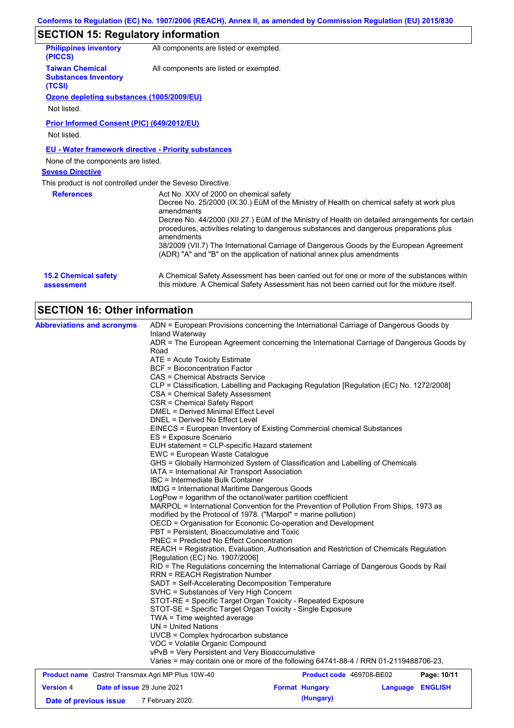# **SECTION 15: Regulatory information**

| <b>Philippines inventory</b><br>(PICCS)                         | All components are listed or exempted.                                                                                                                                                                   |
|-----------------------------------------------------------------|----------------------------------------------------------------------------------------------------------------------------------------------------------------------------------------------------------|
| <b>Taiwan Chemical</b><br><b>Substances Inventory</b><br>(TCSI) | All components are listed or exempted.                                                                                                                                                                   |
| Ozone depleting substances (1005/2009/EU)                       |                                                                                                                                                                                                          |
| Not listed.                                                     |                                                                                                                                                                                                          |
| Prior Informed Consent (PIC) (649/2012/EU)                      |                                                                                                                                                                                                          |
| Not listed.                                                     |                                                                                                                                                                                                          |
| <b>EU - Water framework directive - Priority substances</b>     |                                                                                                                                                                                                          |
| None of the components are listed.                              |                                                                                                                                                                                                          |
| <b>Seveso Directive</b>                                         |                                                                                                                                                                                                          |
| This product is not controlled under the Seveso Directive.      |                                                                                                                                                                                                          |
| <b>References</b>                                               | Act No. XXV of 2000 on chemical safety<br>Decree No. 25/2000 (IX.30.) EüM of the Ministry of Health on chemical safety at work plus<br>amendments                                                        |
|                                                                 | Decree No. 44/2000 (XII.27.) EüM of the Ministry of Health on detailed arrangements for certain<br>procedures, activities relating to dangerous substances and dangerous preparations plus<br>amendments |
|                                                                 | 38/2009 (VII.7) The International Carriage of Dangerous Goods by the European Agreement<br>(ADR) "A" and "B" on the application of national annex plus amendments                                        |
| <b>15.2 Chemical safety</b><br>assessment                       | A Chemical Safety Assessment has been carried out for one or more of the substances within<br>this mixture. A Chemical Safety Assessment has not been carried out for the mixture itself.                |

# **SECTION 16: Other information**

| <b>Abbreviations and acronyms</b>                        | ADN = European Provisions concerning the International Carriage of Dangerous Goods by<br>Inland Waterway<br>ADR = The European Agreement concerning the International Carriage of Dangerous Goods by<br>Road<br>ATE = Acute Toxicity Estimate<br><b>BCF</b> = Bioconcentration Factor<br>CAS = Chemical Abstracts Service<br>CLP = Classification, Labelling and Packaging Regulation [Regulation (EC) No. 1272/2008]<br>CSA = Chemical Safety Assessment<br>CSR = Chemical Safety Report<br>DMEL = Derived Minimal Effect Level<br>DNEL = Derived No Effect Level<br>EINECS = European Inventory of Existing Commercial chemical Substances<br>ES = Exposure Scenario<br>EUH statement = CLP-specific Hazard statement<br>EWC = European Waste Catalogue<br>GHS = Globally Harmonized System of Classification and Labelling of Chemicals<br>IATA = International Air Transport Association<br>IBC = Intermediate Bulk Container<br><b>IMDG = International Maritime Dangerous Goods</b><br>LogPow = logarithm of the octanol/water partition coefficient<br>MARPOL = International Convention for the Prevention of Pollution From Ships, 1973 as<br>modified by the Protocol of 1978. ("Marpol" = marine pollution)<br>OECD = Organisation for Economic Co-operation and Development<br>PBT = Persistent, Bioaccumulative and Toxic<br><b>PNEC = Predicted No Effect Concentration</b><br>REACH = Registration, Evaluation, Authorisation and Restriction of Chemicals Regulation<br>[Regulation (EC) No. 1907/2006]<br>RID = The Regulations concerning the International Carriage of Dangerous Goods by Rail<br><b>RRN = REACH Registration Number</b><br>SADT = Self-Accelerating Decomposition Temperature<br>SVHC = Substances of Very High Concern<br>STOT-RE = Specific Target Organ Toxicity - Repeated Exposure<br>STOT-SE = Specific Target Organ Toxicity - Single Exposure<br>TWA = Time weighted average<br>$UN = United Nations$<br>UVCB = Complex hydrocarbon substance<br>VOC = Volatile Organic Compound |                                 |                |
|----------------------------------------------------------|------------------------------------------------------------------------------------------------------------------------------------------------------------------------------------------------------------------------------------------------------------------------------------------------------------------------------------------------------------------------------------------------------------------------------------------------------------------------------------------------------------------------------------------------------------------------------------------------------------------------------------------------------------------------------------------------------------------------------------------------------------------------------------------------------------------------------------------------------------------------------------------------------------------------------------------------------------------------------------------------------------------------------------------------------------------------------------------------------------------------------------------------------------------------------------------------------------------------------------------------------------------------------------------------------------------------------------------------------------------------------------------------------------------------------------------------------------------------------------------------------------------------------------------------------------------------------------------------------------------------------------------------------------------------------------------------------------------------------------------------------------------------------------------------------------------------------------------------------------------------------------------------------------------------------------------------------------------------------------------------------------------------------|---------------------------------|----------------|
|                                                          | vPvB = Very Persistent and Very Bioaccumulative<br>Varies = may contain one or more of the following 64741-88-4 / RRN 01-2119488706-23,                                                                                                                                                                                                                                                                                                                                                                                                                                                                                                                                                                                                                                                                                                                                                                                                                                                                                                                                                                                                                                                                                                                                                                                                                                                                                                                                                                                                                                                                                                                                                                                                                                                                                                                                                                                                                                                                                      |                                 |                |
| <b>Product name</b> Castrol Transmay Agri MP Plus 10W-40 |                                                                                                                                                                                                                                                                                                                                                                                                                                                                                                                                                                                                                                                                                                                                                                                                                                                                                                                                                                                                                                                                                                                                                                                                                                                                                                                                                                                                                                                                                                                                                                                                                                                                                                                                                                                                                                                                                                                                                                                                                              | <b>Product code 469708-RE02</b> | $P$ age: 10/11 |

| <b>Product name</b> Castrol Transmax Agri MP Plus 10W-40 |  | Product code 469708-BE02          | Page: 10/11 |                       |                         |  |
|----------------------------------------------------------|--|-----------------------------------|-------------|-----------------------|-------------------------|--|
| <b>Version 4</b>                                         |  | <b>Date of issue 29 June 2021</b> |             | <b>Format Hungary</b> | <b>Language ENGLISH</b> |  |
| Date of previous issue                                   |  | 7 February 2020.                  |             | (Hungary)             |                         |  |